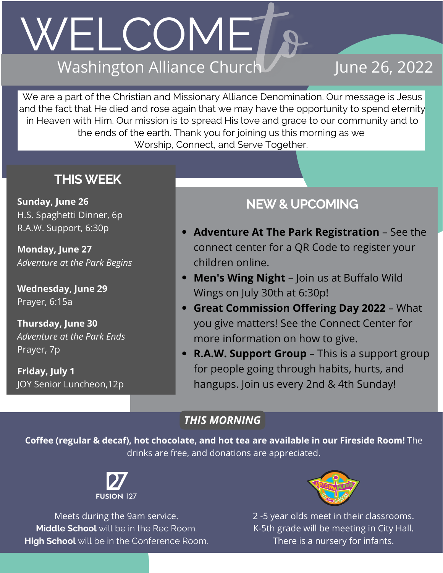## WELCOMET. Washington Alliance Church

## June 26, 2022

We are a part of the Christian and Missionary Alliance Denomination. Our message is Jesus and the fact that He died and rose again that we may have the opportunity to spend eternity in Heaven with Him. Our mission is to spread His love and grace to our community and to the ends of the earth. Thank you for joining us this morning as we Worship, Connect, and Serve Together.

### **THISWEEK**

**Sunday, June 26** H.S. Spaghetti Dinner, 6p R.A.W. Support, 6:30p

**Monday, June 27** *Adventure at the Park Begins*

**Wednesday, June 29** Prayer, 6:15a

**Thursday, June 30** *Adventure at the Park Ends* Prayer, 7p

**Friday, July 1** JOY Senior Luncheon,12p

## **NEW& UPCOMING**

- **Adventure At The Park Registration** See the connect center for a QR Code to register your children online.
- **Men's Wing Night** Join us at Buffalo Wild Wings on July 30th at 6:30p!
- **Great Commission Offering Day 2022** What you give matters! See the Connect Center for more information on how to give.
- **R.A.W. Support Group** This is a support group for people going through habits, hurts, and hangups. Join us every 2nd & 4th Sunday!

### *THIS MORNING*

**Coffee (regular & decaf), hot chocolate, and hot tea are available in our Fireside Room!** The drinks are free, and donations are appreciated.



Meets during the 9am service. **Middle School** will be in the Rec Room. **High School** will be in the Conference Room.



2 -5 year olds meet in their classrooms. K-5th grade will be meeting in City Hall. There is a nursery for infants.